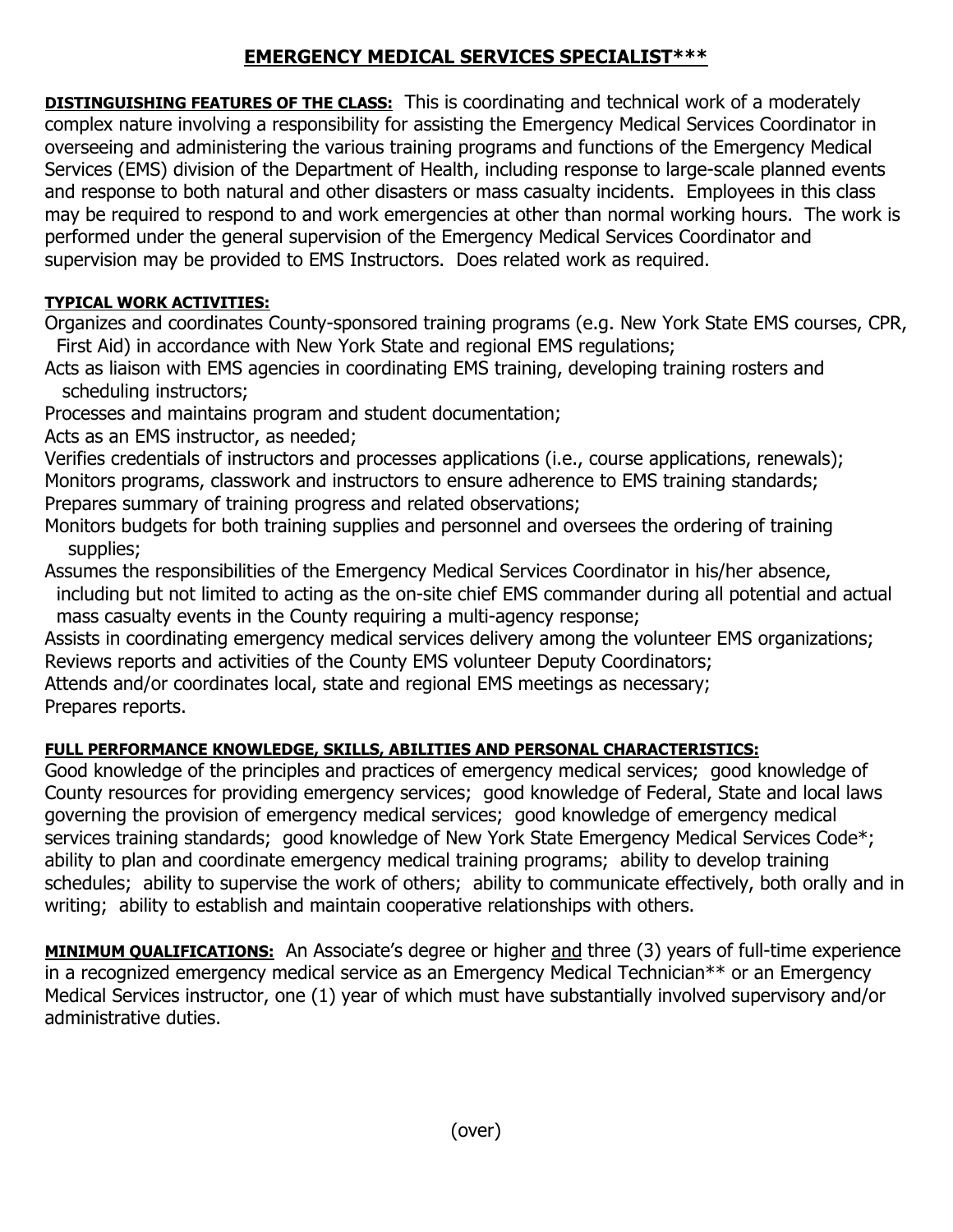## **EMERGENCY MEDICAL SERVICES SPECIALIST\*\*\***

**DISTINGUISHING FEATURES OF THE CLASS:** This is coordinating and technical work of a moderately complex nature involving a responsibility for assisting the Emergency Medical Services Coordinator in overseeing and administering the various training programs and functions of the Emergency Medical Services (EMS) division of the Department of Health, including response to large-scale planned events and response to both natural and other disasters or mass casualty incidents. Employees in this class may be required to respond to and work emergencies at other than normal working hours. The work is performed under the general supervision of the Emergency Medical Services Coordinator and supervision may be provided to EMS Instructors. Does related work as required.

## **TYPICAL WORK ACTIVITIES:**

Organizes and coordinates County-sponsored training programs (e.g. New York State EMS courses, CPR, First Aid) in accordance with New York State and regional EMS regulations;

Acts as liaison with EMS agencies in coordinating EMS training, developing training rosters and scheduling instructors;

Processes and maintains program and student documentation;

Acts as an EMS instructor, as needed;

Verifies credentials of instructors and processes applications (i.e., course applications, renewals); Monitors programs, classwork and instructors to ensure adherence to EMS training standards; Prepares summary of training progress and related observations;

Monitors budgets for both training supplies and personnel and oversees the ordering of training supplies;

Assumes the responsibilities of the Emergency Medical Services Coordinator in his/her absence, including but not limited to acting as the on-site chief EMS commander during all potential and actual

mass casualty events in the County requiring a multi-agency response;

Assists in coordinating emergency medical services delivery among the volunteer EMS organizations; Reviews reports and activities of the County EMS volunteer Deputy Coordinators;

Attends and/or coordinates local, state and regional EMS meetings as necessary;

Prepares reports.

## **FULL PERFORMANCE KNOWLEDGE, SKILLS, ABILITIES AND PERSONAL CHARACTERISTICS:**

Good knowledge of the principles and practices of emergency medical services; good knowledge of County resources for providing emergency services; good knowledge of Federal, State and local laws governing the provision of emergency medical services; good knowledge of emergency medical services training standards; good knowledge of New York State Emergency Medical Services Code\*; ability to plan and coordinate emergency medical training programs; ability to develop training schedules; ability to supervise the work of others; ability to communicate effectively, both orally and in writing; ability to establish and maintain cooperative relationships with others.

**MINIMUM QUALIFICATIONS:** An Associate's degree or higher and three (3) years of full-time experience in a recognized emergency medical service as an Emergency Medical Technician\*\* or an Emergency Medical Services instructor, one (1) year of which must have substantially involved supervisory and/or administrative duties.